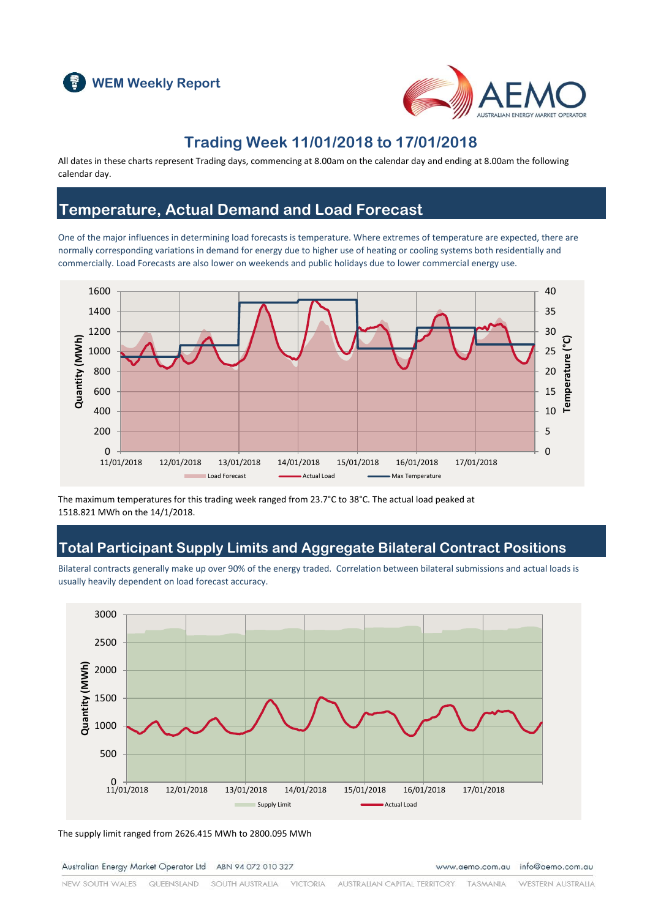



# **Trading Week 11/01/2018 to 17/01/2018**

All dates in these charts represent Trading days, commencing at 8.00am on the calendar day and ending at 8.00am the following calendar day.

# **Temperature, Actual Demand and Load Forecast**

One of the major influences in determining load forecasts is temperature. Where extremes of temperature are expected, there are normally corresponding variations in demand for energy due to higher use of heating or cooling systems both residentially and commercially. Load Forecasts are also lower on weekends and public holidays due to lower commercial energy use.



The maximum temperatures for this trading week ranged from 23.7°C to 38°C. The actual load peaked at 1518.821 MWh on the 14/1/2018.

# **Total Participant Supply Limits and Aggregate Bilateral Contract Positions**

Bilateral contracts generally make up over 90% of the energy traded. Correlation between bilateral submissions and actual loads is usually heavily dependent on load forecast accuracy.



The supply limit ranged from 2626.415 MWh to 2800.095 MWh

Australian Energy Market Operator Ltd ABN 94 072 010 327

www.aemo.com.au info@aemo.com.au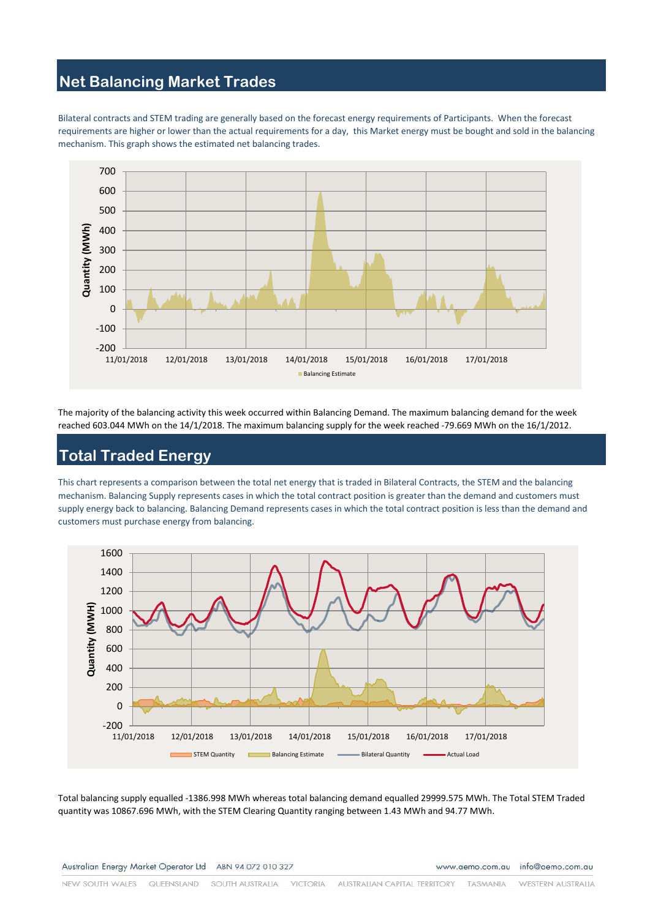### **Net Balancing Market Trades**

Bilateral contracts and STEM trading are generally based on the forecast energy requirements of Participants. When the forecast requirements are higher or lower than the actual requirements for a day, this Market energy must be bought and sold in the balancing mechanism. This graph shows the estimated net balancing trades.



The majority of the balancing activity this week occurred within Balancing Demand. The maximum balancing demand for the week reached 603.044 MWh on the 14/1/2018. The maximum balancing supply for the week reached -79.669 MWh on the 16/1/2012.

## **Total Traded Energy**

This chart represents a comparison between the total net energy that is traded in Bilateral Contracts, the STEM and the balancing mechanism. Balancing Supply represents cases in which the total contract position is greater than the demand and customers must supply energy back to balancing. Balancing Demand represents cases in which the total contract position is less than the demand and customers must purchase energy from balancing.



Total balancing supply equalled -1386.998 MWh whereas total balancing demand equalled 29999.575 MWh. The Total STEM Traded quantity was 10867.696 MWh, with the STEM Clearing Quantity ranging between 1.43 MWh and 94.77 MWh.

Australian Energy Market Operator Ltd ABN 94 072 010 327

www.aemo.com.au info@aemo.com.au